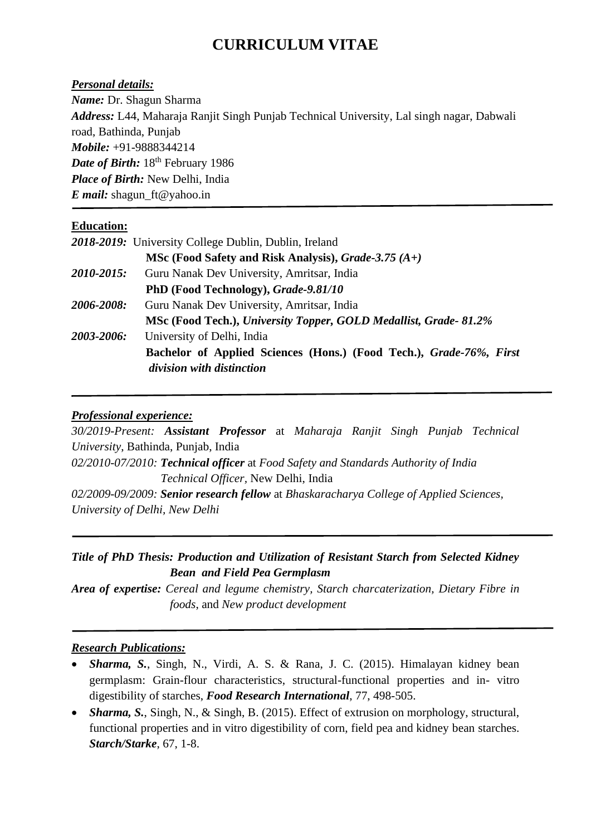# **CURRICULUM VITAE**

*Personal details:*

*Name:* Dr. Shagun Sharma

*Address:* L44, Maharaja Ranjit Singh Punjab Technical University, Lal singh nagar, Dabwali road, Bathinda, Punjab *Mobile:* +91-9888344214 *Date of Birth:*  $18<sup>th</sup>$  February 1986 *Place of Birth:* New Delhi, India *E mail:* [shagun\\_ft@yahoo.in](mailto:shagun_ft@yahoo.in)

### **Education:**

|            | 2018-2019: University College Dublin, Dublin, Ireland                                            |
|------------|--------------------------------------------------------------------------------------------------|
|            | MSc (Food Safety and Risk Analysis), Grade-3.75 $(A+)$                                           |
| 2010-2015: | Guru Nanak Dev University, Amritsar, India                                                       |
|            | PhD (Food Technology), Grade-9.81/10                                                             |
| 2006-2008: | Guru Nanak Dev University, Amritsar, India                                                       |
|            | MSc (Food Tech.), University Topper, GOLD Medallist, Grade-81.2%                                 |
| 2003-2006: | University of Delhi, India                                                                       |
|            | Bachelor of Applied Sciences (Hons.) (Food Tech.), Grade-76%, First<br>division with distinction |

## *Professional experience:*

*30/2019-Present: Assistant Professor* at *Maharaja Ranjit Singh Punjab Technical University*, Bathinda, Punjab, India *02/2010-07/2010: Technical officer* at *Food Safety and Standards Authority of India Technical Officer,* New Delhi, India *02/2009-09/2009: Senior research fellow* at *Bhaskaracharya College of Applied Sciences, University of Delhi, New Delhi*

## *Title of PhD Thesis: Production and Utilization of Resistant Starch from Selected Kidney Bean and Field Pea Germplasm*

*Area of expertise: Cereal and legume chemistry, Starch charcaterization, Dietary Fibre in foods*, and *New product development*

### *Research Publications:*

- *Sharma, S.*, Singh, N., Virdi, A. S. & Rana, J. C. (2015). Himalayan kidney bean germplasm: Grain-flour characteristics, structural-functional properties and in- vitro digestibility of starches, *Food Research International*, 77, 498-505.
- *Sharma, S.*, Singh, N., & Singh, B. (2015). Effect of extrusion on morphology, structural, functional properties and in vitro digestibility of corn, field pea and kidney bean starches. *Starch/Starke*, 67, 1-8.